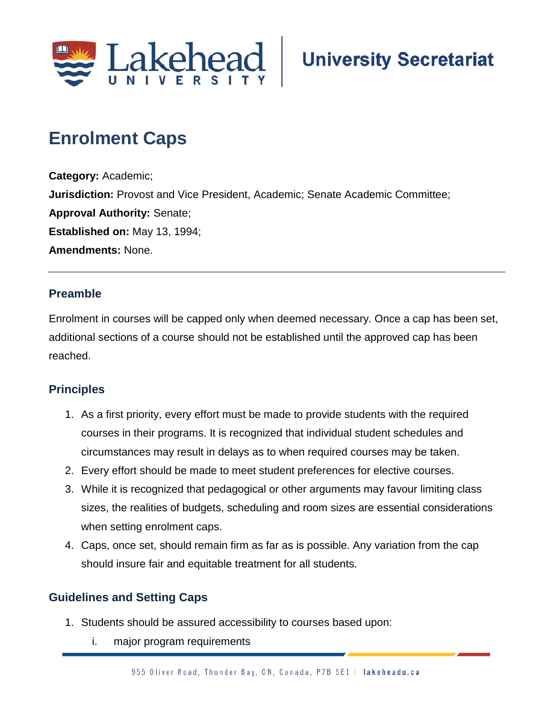

# **Enrolment Caps;**

**Category:** Academic; **Jurisdiction:** Provost and Vice President, Academic; Senate Academic Committee; **Approval Authority:** Senate; **Established on:** May 13, 1994; **Amendments:** None.

## **Preamble**

Enrolment in courses will be capped only when deemed necessary. Once a cap has been set, additional sections of a course should not be established until the approved cap has been reached.

## **Principles**

- 1. As a first priority, every effort must be made to provide students with the required courses in their programs. It is recognized that individual student schedules and circumstances may result in delays as to when required courses may be taken.
- 2. Every effort should be made to meet student preferences for elective courses.
- 3. While it is recognized that pedagogical or other arguments may favour limiting class sizes, the realities of budgets, scheduling and room sizes are essential considerations when setting enrolment caps.
- 4. Caps, once set, should remain firm as far as is possible. Any variation from the cap should insure fair and equitable treatment for all students.

## **Guidelines and Setting Caps**

- 1. Students should be assured accessibility to courses based upon:
	- i. major program requirements